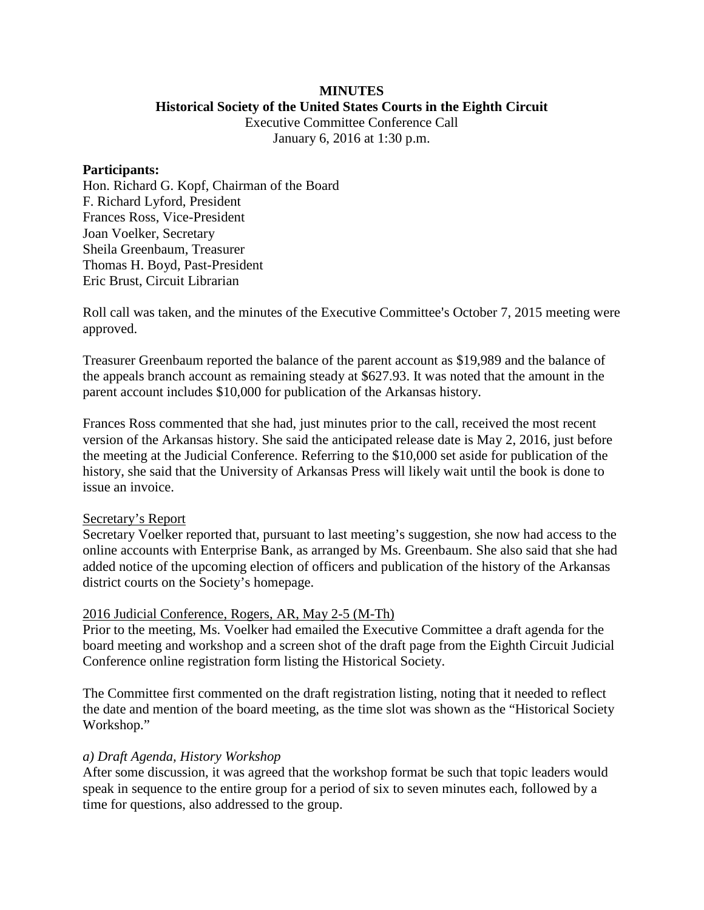### **MINUTES Historical Society of the United States Courts in the Eighth Circuit**

Executive Committee Conference Call January 6, 2016 at 1:30 p.m.

### **Participants:**

Hon. Richard G. Kopf, Chairman of the Board F. Richard Lyford, President Frances Ross, Vice-President Joan Voelker, Secretary Sheila Greenbaum, Treasurer Thomas H. Boyd, Past-President Eric Brust, Circuit Librarian

Roll call was taken, and the minutes of the Executive Committee's October 7, 2015 meeting were approved.

Treasurer Greenbaum reported the balance of the parent account as \$19,989 and the balance of the appeals branch account as remaining steady at \$627.93. It was noted that the amount in the parent account includes \$10,000 for publication of the Arkansas history.

Frances Ross commented that she had, just minutes prior to the call, received the most recent version of the Arkansas history. She said the anticipated release date is May 2, 2016, just before the meeting at the Judicial Conference. Referring to the \$10,000 set aside for publication of the history, she said that the University of Arkansas Press will likely wait until the book is done to issue an invoice.

## Secretary's Report

Secretary Voelker reported that, pursuant to last meeting's suggestion, she now had access to the online accounts with Enterprise Bank, as arranged by Ms. Greenbaum. She also said that she had added notice of the upcoming election of officers and publication of the history of the Arkansas district courts on the Society's homepage.

## 2016 Judicial Conference, Rogers, AR, May 2-5 (M-Th)

Prior to the meeting, Ms. Voelker had emailed the Executive Committee a draft agenda for the board meeting and workshop and a screen shot of the draft page from the Eighth Circuit Judicial Conference online registration form listing the Historical Society.

The Committee first commented on the draft registration listing, noting that it needed to reflect the date and mention of the board meeting, as the time slot was shown as the "Historical Society Workshop."

#### *a) Draft Agenda, History Workshop*

After some discussion, it was agreed that the workshop format be such that topic leaders would speak in sequence to the entire group for a period of six to seven minutes each, followed by a time for questions, also addressed to the group.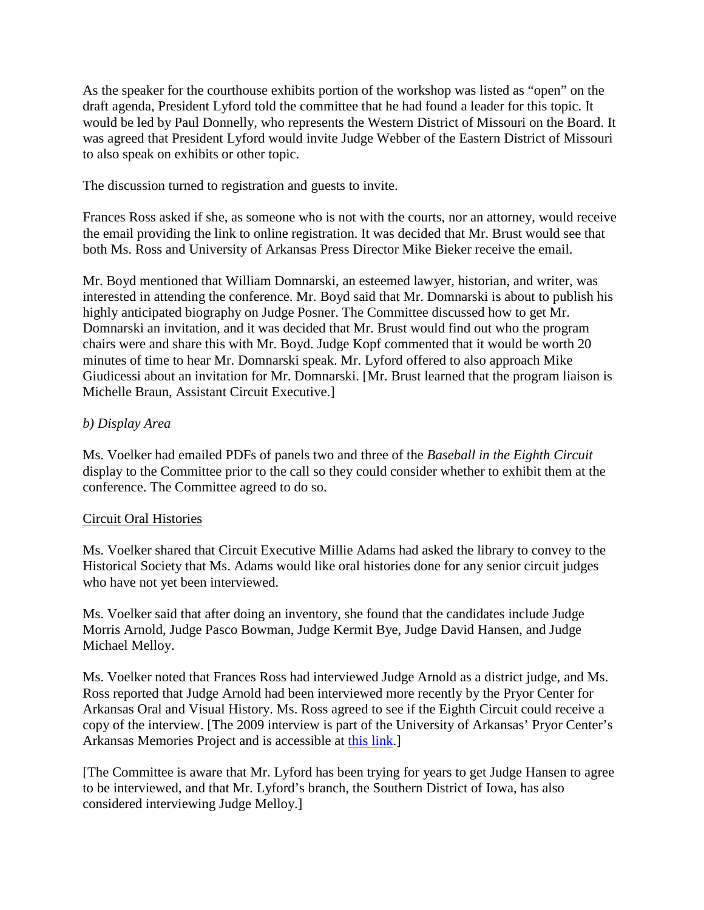As the speaker for the courthouse exhibits portion of the workshop was listed as "open" on the draft agenda, President Lyford told the committee that he had found a leader for this topic. It would be led by Paul Donnelly, who represents the Western District of Missouri on the Board. It was agreed that President Lyford would invite Judge Webber of the Eastern District of Missouri to also speak on exhibits or other topic.

The discussion turned to registration and guests to invite.

Frances Ross asked if she, as someone who is not with the courts, nor an attorney, would receive the email providing the link to online registration. It was decided that Mr. Brust would see that both Ms. Ross and University of Arkansas Press Director Mike Bieker receive the email.

Mr. Boyd mentioned that William Domnarski, an esteemed lawyer, historian, and writer, was interested in attending the conference. Mr. Boyd said that Mr. Domnarski is about to publish his highly anticipated biography on Judge Posner. The Committee discussed how to get Mr. Domnarski an invitation, and it was decided that Mr. Brust would find out who the program chairs were and share this with Mr. Boyd. Judge Kopf commented that it would be worth 20 minutes of time to hear Mr. Domnarski speak. Mr. Lyford offered to also approach Mike Giudicessi about an invitation for Mr. Domnarski. [Mr. Brust learned that the program liaison is Michelle Braun, Assistant Circuit Executive.]

# *b) Display Area*

Ms. Voelker had emailed PDFs of panels two and three of the *Baseball in the Eighth Circuit* display to the Committee prior to the call so they could consider whether to exhibit them at the conference. The Committee agreed to do so.

# Circuit Oral Histories

Ms. Voelker shared that Circuit Executive Millie Adams had asked the library to convey to the Historical Society that Ms. Adams would like oral histories done for any senior circuit judges who have not yet been interviewed.

Ms. Voelker said that after doing an inventory, she found that the candidates include Judge Morris Arnold, Judge Pasco Bowman, Judge Kermit Bye, Judge David Hansen, and Judge Michael Melloy.

Ms. Voelker noted that Frances Ross had interviewed Judge Arnold as a district judge, and Ms. Ross reported that Judge Arnold had been interviewed more recently by the Pryor Center for Arkansas Oral and Visual History. Ms. Ross agreed to see if the Eighth Circuit could receive a copy of the interview. [The 2009 interview is part of the University of Arkansas' Pryor Center's Arkansas Memories Project and is accessible at [this link.](http://pryorcenter.uark.edu/interview.php?thisProject=Arkansas%20Memories&thisInterview=ARNOLD-Morris&displayName=%20Morris%20%20Arnold)]

[The Committee is aware that Mr. Lyford has been trying for years to get Judge Hansen to agree to be interviewed, and that Mr. Lyford's branch, the Southern District of Iowa, has also considered interviewing Judge Melloy.]